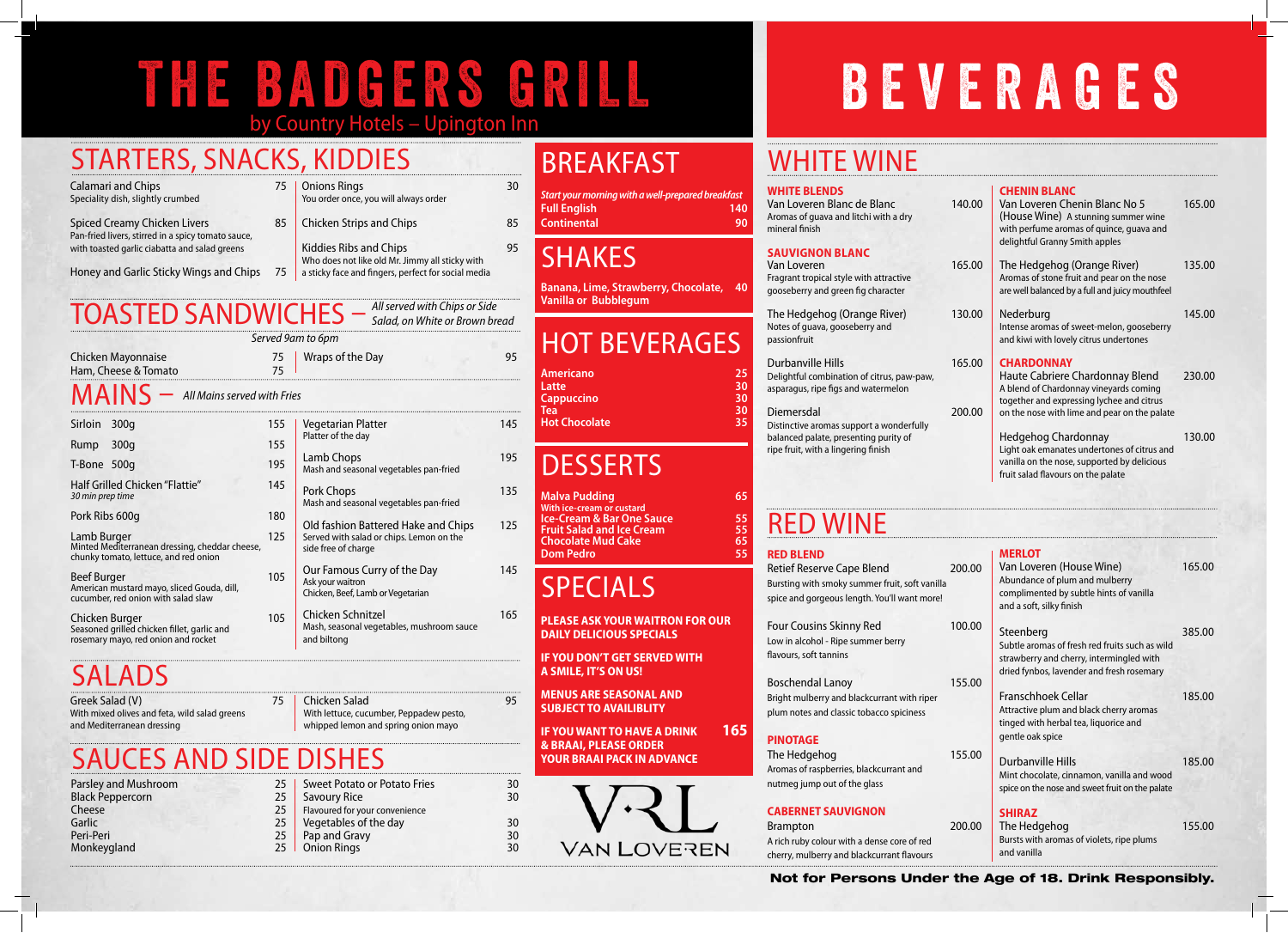## THE BADGERS GRILL BEVERAGES by Country Hotels – Upington Inn

#### **WHITE BLENDS**

Van Loveren Blanc de Blanc Aromas of guava and litchi with a dry mineral finish

#### **Sauvignon Blanc** Van Loveren

The Hedgehog (Orange River) Notes of guava, gooseberry and passionfruit

#### Durbanville Hills

Fragrant tropical style with attractive gooseberry and green fig character

Distinctive aromas support a wonderful balanced palate, presenting purity of ripe fruit, with a lingering finish

Delightful combination of citrus, paw-paw, asparagus, ripe figs and watermelon

#### Diemersdal

#### Four Cousins Skinny Red Low in alcohol - Ripe summer berry flavours, soft tannins

Boschendal Lanoy Bright mulberry and blackcurrant with r plum notes and classic tobacco spicines

The Hedgehog Aromas of raspberries, blackcurrant and nutmeg jump out of the glass

### Red Wine **RED BLEND**

Retief Reserve Cape Blend Bursting with smoky summer fruit, soft spice and gorgeous length. You'll want

|                  | 140.00           | <b>CHENIN BLANC</b><br>Van Loveren Chenin Blanc No 5<br>(House Wine) A stunning summer wine<br>with perfume aromas of quince, quava and<br>delightful Granny Smith apples                   | 165.00 |
|------------------|------------------|---------------------------------------------------------------------------------------------------------------------------------------------------------------------------------------------|--------|
|                  | 165.00           | The Hedgehog (Orange River)<br>Aromas of stone fruit and pear on the nose<br>are well balanced by a full and juicy mouthfeel                                                                | 135.00 |
|                  | 130.00           | Nederburg<br>Intense aromas of sweet-melon, gooseberry<br>and kiwi with lovely citrus undertones                                                                                            | 145.00 |
| aw,              | 165.00<br>200.00 | <b>CHARDONNAY</b><br>Haute Cabriere Chardonnay Blend<br>A blend of Chardonnay vineyards coming<br>together and expressing lychee and citrus<br>on the nose with lime and pear on the palate | 230.00 |
| lly              |                  | <b>Hedgehog Chardonnay</b><br>Light oak emanates undertones of citrus and<br>vanilla on the nose, supported by delicious<br>fruit salad flavours on the palate                              | 130.00 |
|                  |                  |                                                                                                                                                                                             |        |
| vanilla<br>more! | 200.00           | <b>MERLOT</b><br>Van Loveren (House Wine)<br>Abundance of plum and mulberry<br>complimented by subtle hints of vanilla<br>and a soft, silky finish                                          | 165.00 |
|                  | 100.00           | Steenberg<br>Subtle aromas of fresh red fruits such as wild<br>strawberry and cherry, intermingled with<br>dried fynbos, lavender and fresh rosemary                                        | 385.00 |
| iper<br>S.       | 155.00           | <b>Franschhoek Cellar</b><br>Attractive plum and black cherry aromas<br>tinged with herbal tea, liquorice and<br>gentle oak spice                                                           | 185.00 |
|                  | 155.00           | <b>Durbanville Hills</b><br>Mint chocolate, cinnamon, vanilla and wood<br>spice on the nose and sweet fruit on the palate                                                                   | 185.00 |
| ed<br>urs        | 200.00           | <b>SHIRAZ</b><br>The Hedgehog<br>Bursts with aromas of violets, ripe plums<br>and vanilla                                                                                                   | 155.00 |
|                  |                  | der the Age of 18. Drink Responsibly.                                                                                                                                                       |        |

### **PINOTAGE**

### **CABERNET SAUVIGNON**

**Brampton** A rich ruby colour with a dense core of r cherry, mulberry and blackcurrant flavours

**IF YOU WANT TO HAVE A DRINK 165 & BRAAI, PLEASE ORDER YOUR BRAAI PACK IN ADVANCE**



## WHITE WINE

Greek Salad (V) 75 With mixed olives and feta, wild salad greens and Mediterranean dressing

## BREAKFAST

*Start your morning with a well-prepared breakfast* **Full English 140 Continental 90**

### **SHAKES**

**Banana, Lime, Strawberry, Chocolate, 40 Vanilla or Bubblegum**

## HOT BEVERAGES

| <b>Americano</b>     | 25 |
|----------------------|----|
| Latte                | 30 |
| <b>Cappuccino</b>    | 30 |
| Tea                  | 30 |
| <b>Hot Chocolate</b> | 35 |
|                      |    |

## **DESSERTS**

**Malva Pudding 65 With ice-cream or custard Ice-Cream & Bar One Sauce 55<br>
<b>Fruit Salad and Ice Cream** 55<br> **Chocolate Mud Cake** 65 **Fruit Salad and Ice Cream 55 Chocolate Mud Cake 65 Dom Pedro** 

## SPECIALS

**PLEASE ASK YOUR WAITRON FOR OUR DAILY DELICIOUS SPECIALS**

|                                                                                                         |            | Served 9am to 6pm                                                                    |     |
|---------------------------------------------------------------------------------------------------------|------------|--------------------------------------------------------------------------------------|-----|
| Chicken Mayonnaise<br>Ham, Cheese & Tomato                                                              |            | Wraps of the Day                                                                     | 95  |
| $MAINS -$ All Mains served with Fries                                                                   |            |                                                                                      |     |
| Sirloin<br>300q<br>300q<br>Rump                                                                         | 155<br>155 | <b>Vegetarian Platter</b><br>Platter of the day                                      | 145 |
| T-Bone 500g                                                                                             | 195        | Lamb Chops<br>Mash and seasonal vegetables pan-fried                                 | 195 |
| Half Grilled Chicken "Flattie"<br>30 min prep time                                                      |            | Pork Chops<br>Mash and seasonal vegetables pan-fried                                 | 135 |
| Pork Ribs 600q                                                                                          |            | Old fashion Battered Hake and Chips                                                  | 125 |
| Lamb Burger<br>Minted Mediterranean dressing, cheddar cheese,<br>chunky tomato, lettuce, and red onion  |            | Served with salad or chips. Lemon on the<br>side free of charge                      |     |
| <b>Beef Burger</b><br>American mustard mayo, sliced Gouda, dill,<br>cucumber, red onion with salad slaw |            | Our Famous Curry of the Day<br>Ask your waitron<br>Chicken, Beef, Lamb or Vegetarian | 145 |
| Chicken Burger<br>Seasoned grilled chicken fillet, garlic and<br>rosemary mayo, red onion and rocket    | 105        | Chicken Schnitzel<br>Mash, seasonal vegetables, mushroom sauce<br>and biltong        | 165 |

## **SALADS**

**IF YOU DON'T GET SERVED WITH A SMILE, IT'S ON US!**

**MENUS ARE SEASONAL AND SUBJECT TO AVAILIBLITY**

## STARTERS, SNACKS, KIDDIES

| <b>Calamari and Chips</b>           | 75 |
|-------------------------------------|----|
| Speciality dish, slightly crumbed   |    |
| <b>Spiced Creamy Chicken Livers</b> | 85 |

Pan-fried livers, stirred in a spicy tomato sauce, with toasted garlic ciabatta and salad greens

- Honey and Garlic Sticky Wings and Chips 75
- **Onions Rings 30** You order once, you will always order
- Chicken Strips and Chips 85
	- Kiddies Ribs and Chips 81 and 1995 Who does not like old Mr. Jimmy all sticky with a sticky face and fingers, perfect for social media

Chicken Salad 95 With lettuce, cucumber, Peppadew pesto, whipped lemon and spring onion mayo

## TOASTED SANDWICHES – *All served with Chips or Side*

*Salad, on White or Brown bread*

### Sauces AND SIDE DISHES

Parsley and Mushroom 25<br>Black Peppercorn 25 Black Peppercorn 25<br>Cheese 25 Cheese 25<br>Garlic 25 Garlic 25<br>Peri-Peri 25 Peri-Peri 25<br>Monkeygland 25 Monkeygland

Sweet Potato or Potato Fries 30<br>Savourv Rice 30 Savoury Rice Flavoured for your convenience Vegetables of the day 30<br>Pap and Gravy 30 Pap and Gravy 30<br>
Onion Rings 30<br>
30 **Onion Rings**